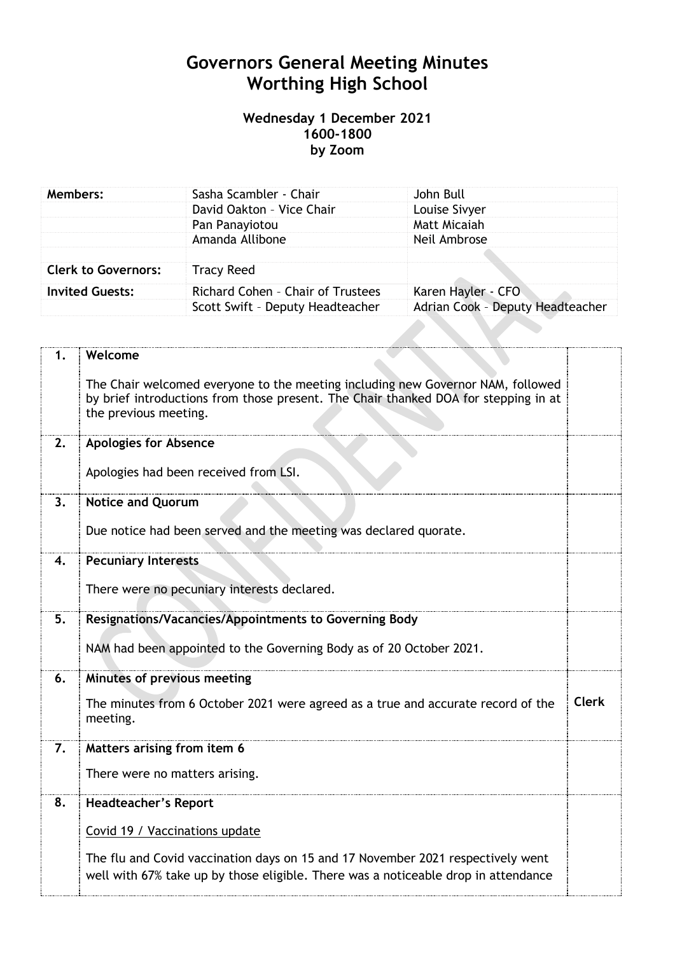# **Governors General Meeting Minutes Worthing High School**

# **Wednesday 1 December 2021 1600-1800 by Zoom**

| Members:                   | Sasha Scambler - Chair            | John Bull                        |
|----------------------------|-----------------------------------|----------------------------------|
|                            | David Oakton - Vice Chair         | Louise Sivyer                    |
|                            | Pan Panayiotou                    | Matt Micaiah                     |
|                            | Amanda Allibone                   | Neil Ambrose                     |
|                            |                                   |                                  |
| <b>Clerk to Governors:</b> | <b>Tracy Reed</b>                 |                                  |
| <b>Invited Guests:</b>     | Richard Cohen - Chair of Trustees | Karen Hayler - CFO               |
|                            | Scott Swift - Deputy Headteacher  | Adrian Cook - Deputy Headteacher |
|                            |                                   |                                  |

| 1. | Welcome                                                                                                                                                                                         |              |
|----|-------------------------------------------------------------------------------------------------------------------------------------------------------------------------------------------------|--------------|
|    | The Chair welcomed everyone to the meeting including new Governor NAM, followed<br>by brief introductions from those present. The Chair thanked DOA for stepping in at<br>the previous meeting. |              |
| 2. | <b>Apologies for Absence</b>                                                                                                                                                                    |              |
|    | Apologies had been received from LSI.                                                                                                                                                           |              |
| 3. | <b>Notice and Quorum</b>                                                                                                                                                                        |              |
|    | Due notice had been served and the meeting was declared quorate.                                                                                                                                |              |
| 4. | <b>Pecuniary Interests</b>                                                                                                                                                                      |              |
|    | There were no pecuniary interests declared.                                                                                                                                                     |              |
| 5. | Resignations/Vacancies/Appointments to Governing Body                                                                                                                                           |              |
|    | NAM had been appointed to the Governing Body as of 20 October 2021.                                                                                                                             |              |
| 6. | Minutes of previous meeting                                                                                                                                                                     |              |
|    | The minutes from 6 October 2021 were agreed as a true and accurate record of the<br>meeting.                                                                                                    | <b>Clerk</b> |
| 7. | Matters arising from item 6                                                                                                                                                                     |              |
|    | There were no matters arising.                                                                                                                                                                  |              |
| 8. | <b>Headteacher's Report</b>                                                                                                                                                                     |              |
|    | Covid 19 / Vaccinations update                                                                                                                                                                  |              |
|    | The flu and Covid vaccination days on 15 and 17 November 2021 respectively went<br>well with 67% take up by those eligible. There was a noticeable drop in attendance                           |              |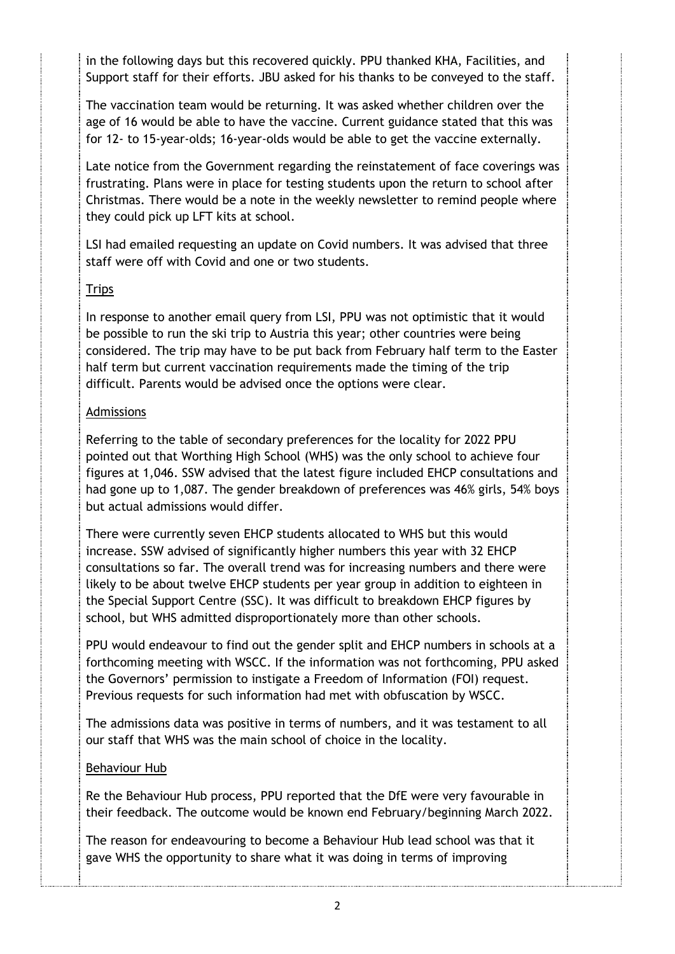in the following days but this recovered quickly. PPU thanked KHA, Facilities, and Support staff for their efforts. JBU asked for his thanks to be conveyed to the staff.

The vaccination team would be returning. It was asked whether children over the age of 16 would be able to have the vaccine. Current guidance stated that this was for 12- to 15-year-olds; 16-year-olds would be able to get the vaccine externally.

Late notice from the Government regarding the reinstatement of face coverings was frustrating. Plans were in place for testing students upon the return to school after Christmas. There would be a note in the weekly newsletter to remind people where they could pick up LFT kits at school.

LSI had emailed requesting an update on Covid numbers. It was advised that three staff were off with Covid and one or two students.

# **Trips**

In response to another email query from LSI, PPU was not optimistic that it would be possible to run the ski trip to Austria this year; other countries were being considered. The trip may have to be put back from February half term to the Easter half term but current vaccination requirements made the timing of the trip difficult. Parents would be advised once the options were clear.

# Admissions

Referring to the table of secondary preferences for the locality for 2022 PPU pointed out that Worthing High School (WHS) was the only school to achieve four figures at 1,046. SSW advised that the latest figure included EHCP consultations and had gone up to 1,087. The gender breakdown of preferences was 46% girls, 54% boys but actual admissions would differ.

There were currently seven EHCP students allocated to WHS but this would increase. SSW advised of significantly higher numbers this year with 32 EHCP consultations so far. The overall trend was for increasing numbers and there were likely to be about twelve EHCP students per year group in addition to eighteen in the Special Support Centre (SSC). It was difficult to breakdown EHCP figures by school, but WHS admitted disproportionately more than other schools.

PPU would endeavour to find out the gender split and EHCP numbers in schools at a forthcoming meeting with WSCC. If the information was not forthcoming, PPU asked the Governors' permission to instigate a Freedom of Information (FOI) request. Previous requests for such information had met with obfuscation by WSCC.

The admissions data was positive in terms of numbers, and it was testament to all our staff that WHS was the main school of choice in the locality.

# Behaviour Hub

Re the Behaviour Hub process, PPU reported that the DfE were very favourable in their feedback. The outcome would be known end February/beginning March 2022.

The reason for endeavouring to become a Behaviour Hub lead school was that it gave WHS the opportunity to share what it was doing in terms of improving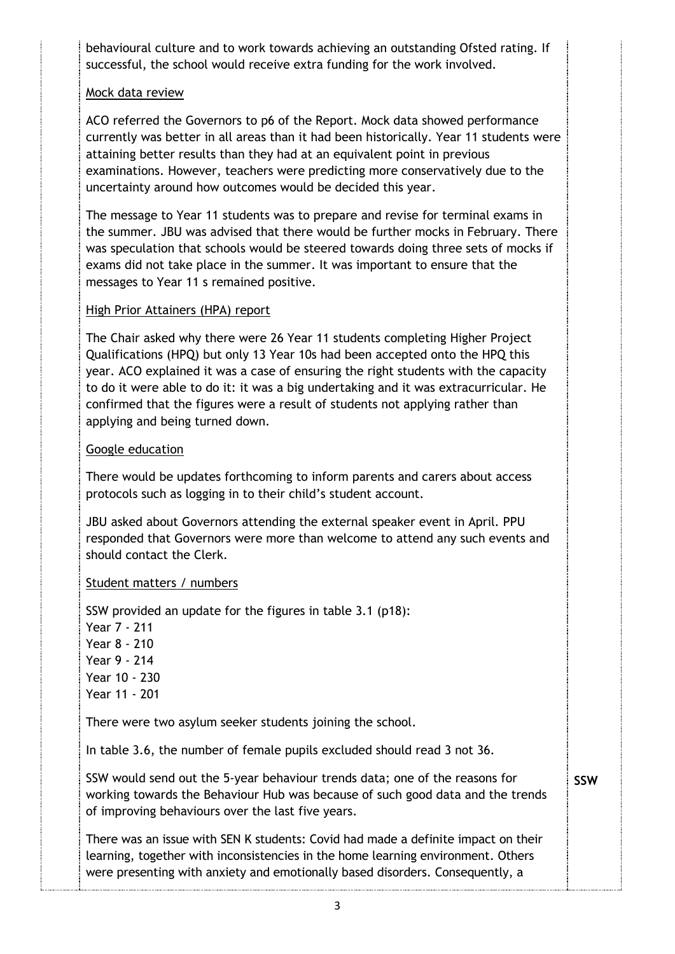behavioural culture and to work towards achieving an outstanding Ofsted rating. If successful, the school would receive extra funding for the work involved.

# Mock data review

ACO referred the Governors to p6 of the Report. Mock data showed performance currently was better in all areas than it had been historically. Year 11 students were attaining better results than they had at an equivalent point in previous examinations. However, teachers were predicting more conservatively due to the uncertainty around how outcomes would be decided this year.

The message to Year 11 students was to prepare and revise for terminal exams in the summer. JBU was advised that there would be further mocks in February. There was speculation that schools would be steered towards doing three sets of mocks if exams did not take place in the summer. It was important to ensure that the messages to Year 11 s remained positive.

#### High Prior Attainers (HPA) report

The Chair asked why there were 26 Year 11 students completing Higher Project Qualifications (HPQ) but only 13 Year 10s had been accepted onto the HPQ this year. ACO explained it was a case of ensuring the right students with the capacity to do it were able to do it: it was a big undertaking and it was extracurricular. He confirmed that the figures were a result of students not applying rather than applying and being turned down.

#### Google education

There would be updates forthcoming to inform parents and carers about access protocols such as logging in to their child's student account.

JBU asked about Governors attending the external speaker event in April. PPU responded that Governors were more than welcome to attend any such events and should contact the Clerk.

# Student matters / numbers

SSW provided an update for the figures in table 3.1 (p18): Year 7 - 211 Year 8 - 210 Year 9 - 214 Year 10 - 230 Year 11 - 201 There were two asylum seeker students joining the school.

In table 3.6, the number of female pupils excluded should read 3 not 36.

SSW would send out the 5-year behaviour trends data; one of the reasons for working towards the Behaviour Hub was because of such good data and the trends of improving behaviours over the last five years.

**SSW**

There was an issue with SEN K students: Covid had made a definite impact on their learning, together with inconsistencies in the home learning environment. Others were presenting with anxiety and emotionally based disorders. Consequently, a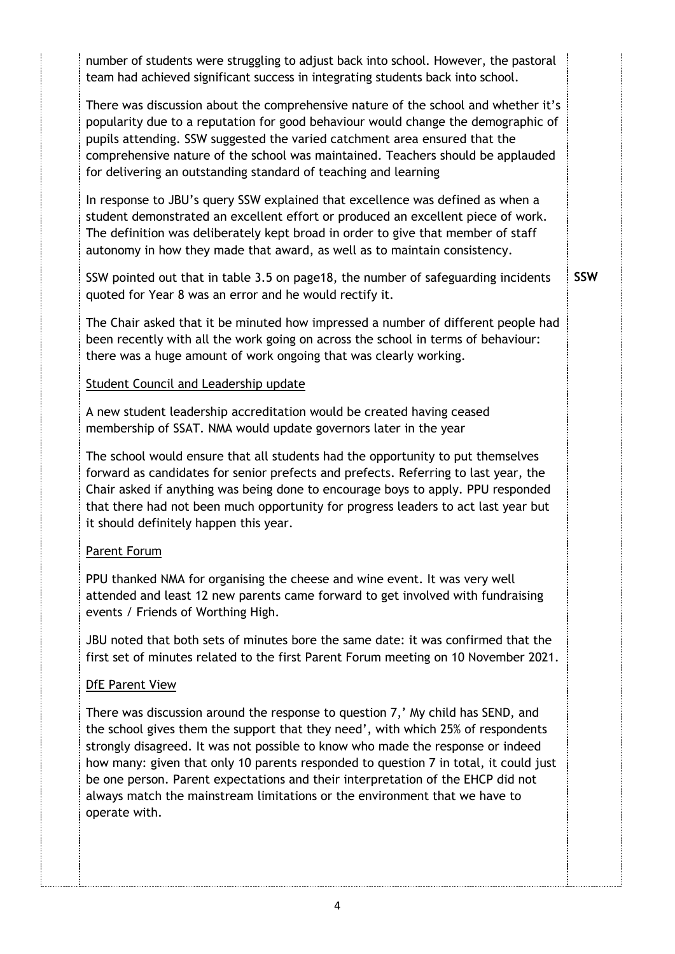number of students were struggling to adjust back into school. However, the pastoral team had achieved significant success in integrating students back into school. There was discussion about the comprehensive nature of the school and whether it's popularity due to a reputation for good behaviour would change the demographic of pupils attending. SSW suggested the varied catchment area ensured that the comprehensive nature of the school was maintained. Teachers should be applauded for delivering an outstanding standard of teaching and learning In response to JBU's query SSW explained that excellence was defined as when a student demonstrated an excellent effort or produced an excellent piece of work. The definition was deliberately kept broad in order to give that member of staff autonomy in how they made that award, as well as to maintain consistency. SSW pointed out that in table 3.5 on page18, the number of safeguarding incidents quoted for Year 8 was an error and he would rectify it. The Chair asked that it be minuted how impressed a number of different people had been recently with all the work going on across the school in terms of behaviour: there was a huge amount of work ongoing that was clearly working. Student Council and Leadership update A new student leadership accreditation would be created having ceased membership of SSAT. NMA would update governors later in the year The school would ensure that all students had the opportunity to put themselves forward as candidates for senior prefects and prefects. Referring to last year, the Chair asked if anything was being done to encourage boys to apply. PPU responded that there had not been much opportunity for progress leaders to act last year but it should definitely happen this year. Parent Forum PPU thanked NMA for organising the cheese and wine event. It was very well attended and least 12 new parents came forward to get involved with fundraising events / Friends of Worthing High. JBU noted that both sets of minutes bore the same date: it was confirmed that the first set of minutes related to the first Parent Forum meeting on 10 November 2021. DfE Parent View There was discussion around the response to question 7,' My child has SEND, and the school gives them the support that they need', with which 25% of respondents strongly disagreed. It was not possible to know who made the response or indeed how many: given that only 10 parents responded to question 7 in total, it could just **SSW**

be one person. Parent expectations and their interpretation of the EHCP did not always match the mainstream limitations or the environment that we have to operate with.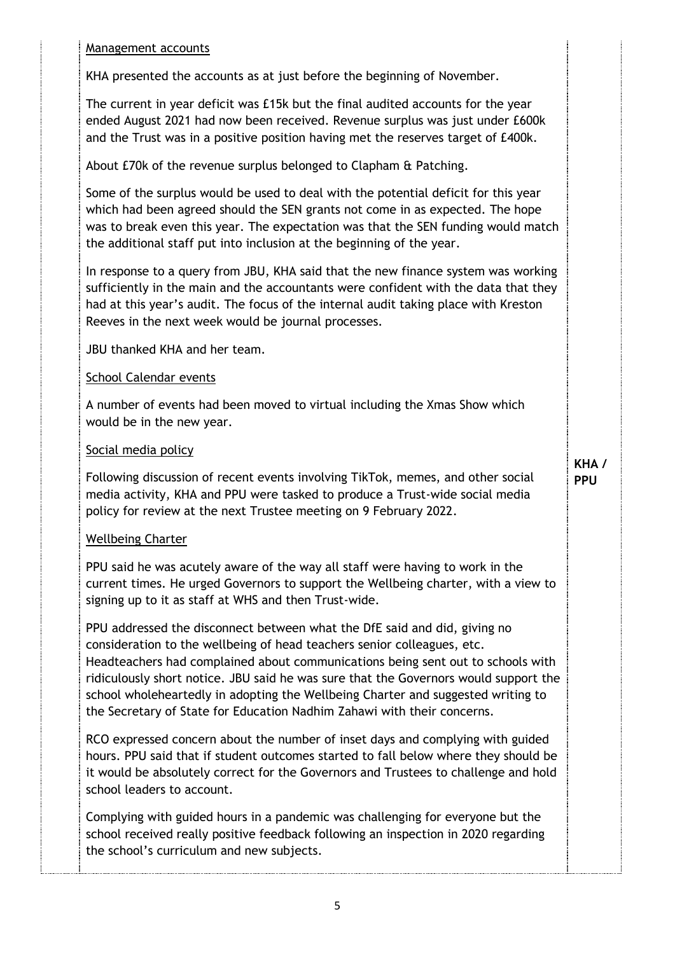#### Management accounts

KHA presented the accounts as at just before the beginning of November.

The current in year deficit was £15k but the final audited accounts for the year ended August 2021 had now been received. Revenue surplus was just under £600k and the Trust was in a positive position having met the reserves target of £400k.

About £70k of the revenue surplus belonged to Clapham & Patching.

Some of the surplus would be used to deal with the potential deficit for this year which had been agreed should the SEN grants not come in as expected. The hope was to break even this year. The expectation was that the SEN funding would match the additional staff put into inclusion at the beginning of the year.

In response to a query from JBU, KHA said that the new finance system was working sufficiently in the main and the accountants were confident with the data that they had at this year's audit. The focus of the internal audit taking place with Kreston Reeves in the next week would be journal processes.

JBU thanked KHA and her team.

#### School Calendar events

A number of events had been moved to virtual including the Xmas Show which would be in the new year.

#### Social media policy

Following discussion of recent events involving TikTok, memes, and other social media activity, KHA and PPU were tasked to produce a Trust-wide social media policy for review at the next Trustee meeting on 9 February 2022.

#### Wellbeing Charter

PPU said he was acutely aware of the way all staff were having to work in the current times. He urged Governors to support the Wellbeing charter, with a view to signing up to it as staff at WHS and then Trust-wide.

PPU addressed the disconnect between what the DfE said and did, giving no consideration to the wellbeing of head teachers senior colleagues, etc. Headteachers had complained about communications being sent out to schools with ridiculously short notice. JBU said he was sure that the Governors would support the school wholeheartedly in adopting the Wellbeing Charter and suggested writing to the Secretary of State for Education Nadhim Zahawi with their concerns.

RCO expressed concern about the number of inset days and complying with guided hours. PPU said that if student outcomes started to fall below where they should be it would be absolutely correct for the Governors and Trustees to challenge and hold school leaders to account.

Complying with guided hours in a pandemic was challenging for everyone but the school received really positive feedback following an inspection in 2020 regarding the school's curriculum and new subjects.

**KHA / PPU**